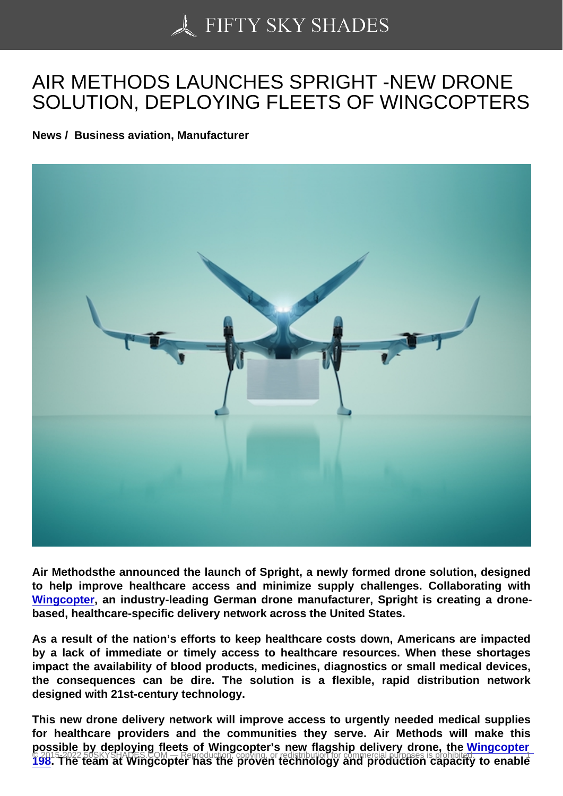## [AIR METHODS LAUNC](https://50skyshades.com)HES SPRIGHT -NEW DRONE SOLUTION, DEPLOYING FLEETS OF WINGCOPTERS

News / Business aviation, Manufacturer

Air Methodsthe announced the launch of Spright, a newly formed drone solution, designed to help improve healthcare access and minimize supply challenges. Collaborating with Wingcopter , an industry-leading German drone manufacturer, Spright is creating a dronebased, healthcare-specific delivery network across the United States.

As a result of the nation's efforts to keep healthcare costs down, Americans are impacted [by a lack of](https://wingcopter.com/) immediate or timely access to healthcare resources. When these shortages impact the availability of blood products, medicines, diagnostics or small medical devices, the consequences can be dire. The solution is a flexible, rapid distribution network designed with 21st-century technology.

This new drone delivery network will improve access to urgently needed medical supplies for healthcare providers and the communities they serve. Air Methods will make this possible by deploying fleets of Wingcopter's new flagship delivery drone, the Wingcopter C 2015-2022 50SKY SHADES.COM — Reproduction, copying, or redistribution for commercial purposes is pronibited.<br>198. The team at Wingcopter has the proven technology and production capacity to enable.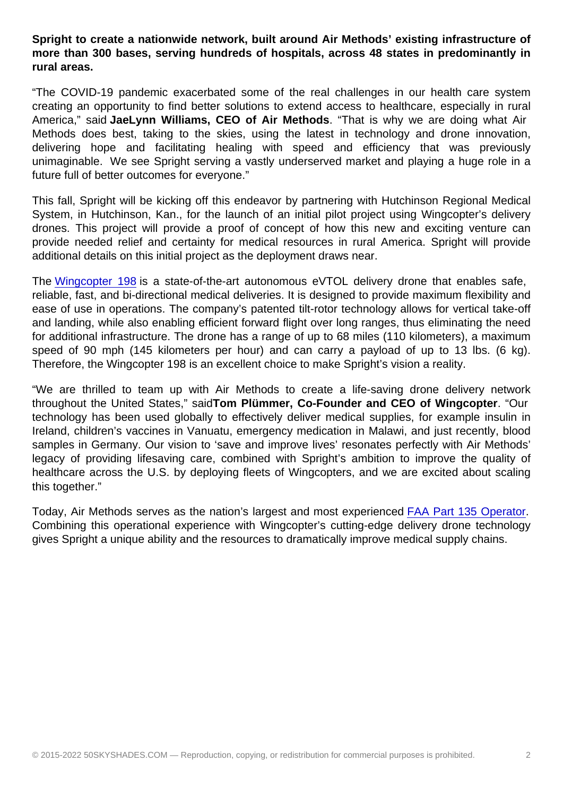more than 300 bases, serving hundreds of hospitals, across 48 states in predominantly in rural areas.

"The COVID-19 pandemic exacerbated some of the real challenges in our health care system creating an opportunity to find better solutions to extend access to healthcare, especially in rural America," said JaeLynn Williams, CEO of Air Methods . "That is why we are doing what Air Methods does best, taking to the skies, using the latest in technology and drone innovation, delivering hope and facilitating healing with speed and efficiency that was previously unimaginable. We see Spright serving a vastly underserved market and playing a huge role in a future full of better outcomes for everyone."

This fall, Spright will be kicking off this endeavor by partnering with Hutchinson Regional Medical System, in Hutchinson, Kan., for the launch of an initial pilot project using Wingcopter's delivery drones. This project will provide a proof of concept of how this new and exciting venture can provide needed relief and certainty for medical resources in rural America. Spright will provide additional details on this initial project as the deployment draws near.

The Wingcopter 198 is a state-of-the-art autonomous eVTOL delivery drone that enables safe, reliable, fast, and bi-directional medical deliveries. It is designed to provide maximum flexibility and ease of use in operations. The company's patented tilt-rotor technology allows for vertical take-off and [landing, while al](https://wingcopter.com/wingcopter-198)so enabling efficient forward flight over long ranges, thus eliminating the need for additional infrastructure. The drone has a range of up to 68 miles (110 kilometers), a maximum speed of 90 mph (145 kilometers per hour) and can carry a payload of up to 13 lbs. (6 kg). Therefore, the Wingcopter 198 is an excellent choice to make Spright's vision a reality.

"We are thrilled to team up with Air Methods to create a life-saving drone delivery network throughout the United States," saidTom Plümmer, Co-Founder and CEO of Wingcopter . "Our technology has been used globally to effectively deliver medical supplies, for example insulin in Ireland, children's vaccines in Vanuatu, emergency medication in Malawi, and just recently, blood samples in Germany. Our vision to 'save and improve lives' resonates perfectly with Air Methods' legacy of providing lifesaving care, combined with Spright's ambition to improve the quality of healthcare across the U.S. by deploying fleets of Wingcopters, and we are excited about scaling this together."

Today, Air Methods serves as the nation's largest and most experienced FAA Part 135 Operator. Combining this operational experience with Wingcopter's cutting-edge delivery drone technology gives Spright a unique ability and the resources to dramatically improve medical supply chains.